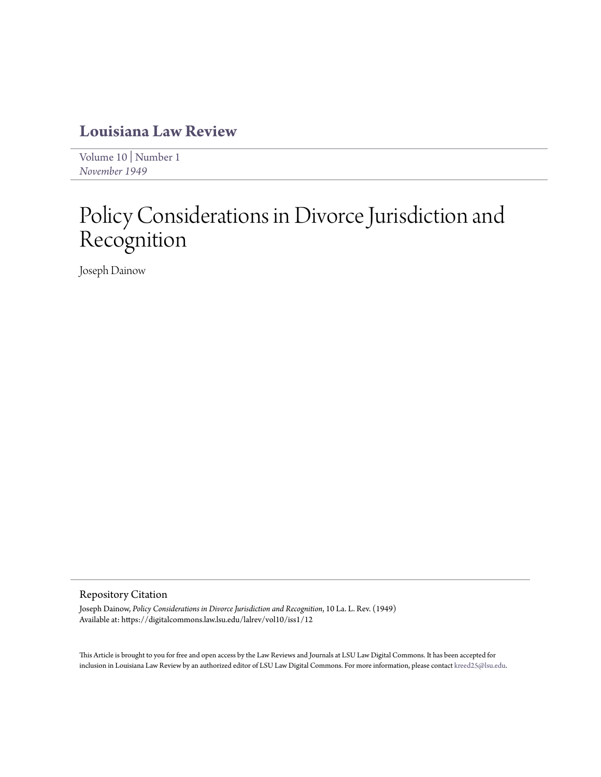### **[Louisiana Law Review](https://digitalcommons.law.lsu.edu/lalrev)**

[Volume 10](https://digitalcommons.law.lsu.edu/lalrev/vol10) | [Number 1](https://digitalcommons.law.lsu.edu/lalrev/vol10/iss1) *[November 1949](https://digitalcommons.law.lsu.edu/lalrev/vol10/iss1)*

# Policy Considerations in Divorce Jurisdiction and Recognition

Joseph Dainow

#### Repository Citation

Joseph Dainow, *Policy Considerations in Divorce Jurisdiction and Recognition*, 10 La. L. Rev. (1949) Available at: https://digitalcommons.law.lsu.edu/lalrev/vol10/iss1/12

This Article is brought to you for free and open access by the Law Reviews and Journals at LSU Law Digital Commons. It has been accepted for inclusion in Louisiana Law Review by an authorized editor of LSU Law Digital Commons. For more information, please contact [kreed25@lsu.edu](mailto:kreed25@lsu.edu).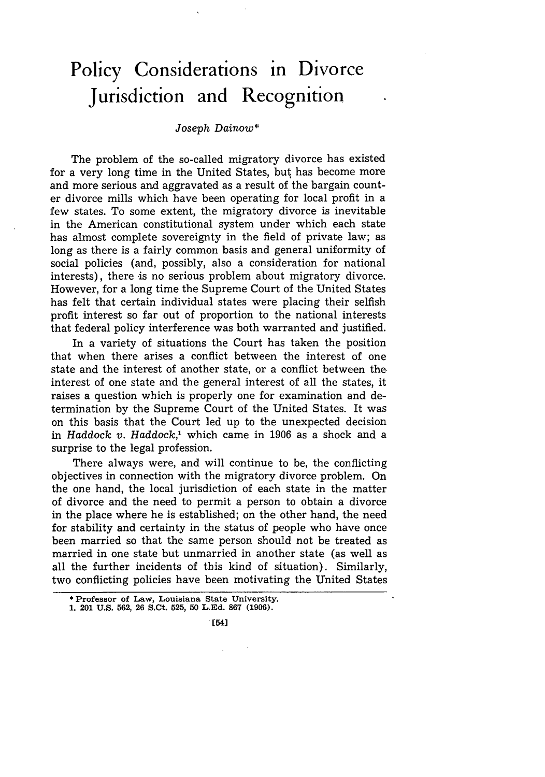## **Policy Considerations in Divorce Jurisdiction and Recognition**

#### *Joseph Dainow\**

The problem of the so-called migratory divorce has existed for a very long time in the United States, but has become more and more serious and aggravated as a result of the bargain counter divorce mills which have been operating for local profit in a few states. To some extent, the migratory divorce is inevitable in the American constitutional system under which each state has almost complete sovereignty in the field of private law; as long as there is a fairly common basis and general uniformity of social policies (and, possibly, also a consideration for national interests), there is no serious problem about migratory divorce. However, for a long time the Supreme Court of the United States has felt that certain individual states were placing their selfish profit interest so far out of proportion to the national interests that federal policy interference was both warranted and justified.

In a variety of situations the Court has taken the position that when there arises a conflict between the interest of one state and the interest of another state, or a conflict between the interest of one state and the general interest of all the states, it raises a question which is properly one for examination and determination by the Supreme Court of the United States. It was on this basis that the Court led up to the unexpected decision in *Haddock v. Haddock,'* which came in 1906 as a shock and a surprise to the legal profession.

There always were, and will continue to be, the conflicting objectives in connection with the migratory divorce problem. On the one hand, the local jurisdiction of each state in the matter of divorce and the need to permit a person to obtain a divorce in the place where he is established; on the other hand, the need for stability and certainty in the status of people who have once been married so that the same person should not be treated as married in one state but unmarried in another state (as well as all the further incidents of this kind of situation). Similarly, two conflicting policies have been motivating the United States

**. [54]**

<sup>\*</sup> **Professor of Law, Louisiana State University. 1. 201 U.S. 562, 26 S.Ct. 525, 50 L.Ed. 867 (1906).**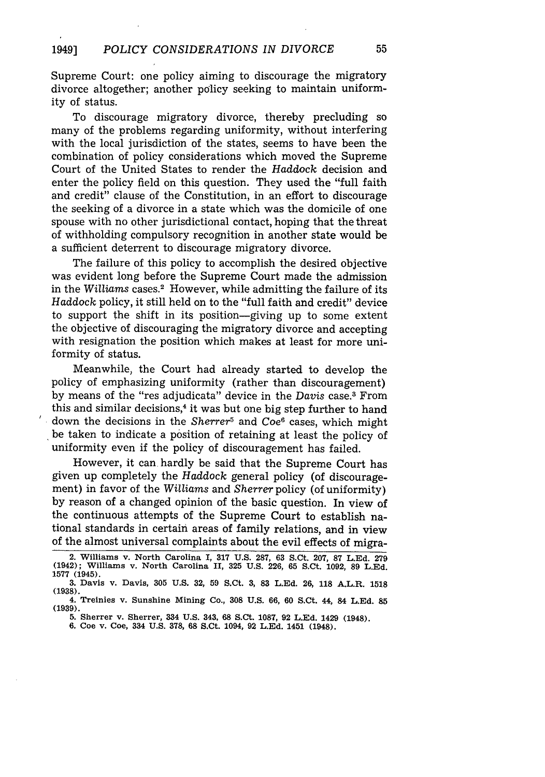Supreme Court: one policy aiming to discourage the migratory divorce altogether; another policy seeking to maintain uniformity of status.

To discourage migratory divorce, thereby precluding so many of the problems regarding uniformity, without interfering with the local jurisdiction of the states, seems to have been the combination of policy considerations which moved the Supreme Court of the United States to render the *Haddock* decision and enter the policy field on this question. They used the "full faith and credit" clause of the Constitution, in an effort to discourage the seeking of a divorce in a state which was the domicile of one spouse with no other jurisdictional contact, hoping that the threat of withholding compulsory recognition in another state would be a sufficient deterrent to discourage migratory divorce.

The failure of this policy to accomplish the desired objective was evident long before the Supreme Court made the admission in the Williams cases.<sup>2</sup> However, while admitting the failure of its *Haddock* policy, it still held on to the "full faith and credit" device to support the shift in its position-giving up to some extent the objective of discouraging the migratory divorce and accepting with resignation the position which makes at least for more uniformity of status.

Meanwhile, the Court had already started to develop the policy of emphasizing uniformity (rather than discouragement) by means of the "res adjudicata" device in the *Davis* case.3 From this and similar decisions, $4$  it was but one big step further to hand down the decisions in the *Sherrer5* and Coe6 cases, which might be taken to indicate a position of retaining at least the policy of uniformity even if the policy of discouragement has failed.

However, it can hardly be said that the Supreme Court has given up completely the *Haddock* general policy (of discouragement) in favor of the *Williams* and *Sherrer* policy (of uniformity) by reason of a changed opinion of the basic question. In view of the continuous attempts of the Supreme Court to establish national standards in certain areas of family relations, and in view of the almost universal complaints about the evil effects of migra-

**<sup>2.</sup> Williams** v. **North Carolina I, 317 U.S. 287, 63** S.Ct. **207, 87 L.Ed. 279 (1942); Williams v. North Carolina II, 325 U.S. 226, 65 S.Ct. 1092, 89 L.Ed. 1577 (1945).**

**<sup>3.</sup> Davis v. Davis, 305 U.S. 32, 59 S.Ct. 3, 83 L.Ed. 26, 118 A.L.R. 1518 (1938).**

**<sup>4.</sup> Treinies v. Sunshine Mining Co., 308 U.S. 66, 60 S.Ct. 44, 84 L.Ed. 85 (1939).**

**<sup>5.</sup> Sherrer v. Sherrer, 334 U.S. 343, 68 S.Ct. 1087, 92 L.Ed. 1429 (1948).**

**<sup>6.</sup> Coe v. Coe, 334 U.S. 378, 68 S.Ct. 1094, 92 L.Ed. 1451 (1948).**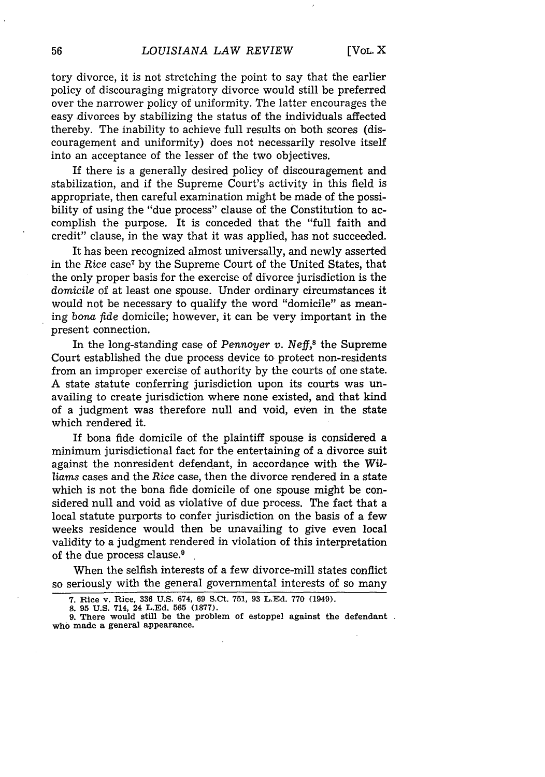tory divorce, it is not stretching the point to say that the earlier policy of discouraging migratory divorce would still be preferred over the narrower policy of uniformity. The latter encourages the easy divorces by stabilizing the status of the individuals affected thereby. The inability to achieve full results on both scores (discouragement and uniformity) does not necessarily resolve itself into an acceptance of the lesser of the two objectives.

If there is a generally desired policy of discouragement and stabilization, and if the Supreme Court's activity in this field is appropriate, then careful examination might be made of the possibility of using the "due process" clause of the Constitution to accomplish the purpose. It is conceded that the "full faith and credit" clause, in the way that it was applied, has not succeeded.

It has been recognized almost universally, and newly asserted in the Rice case<sup>7</sup> by the Supreme Court of the United States, that the only proper basis for the exercise of divorce jurisdiction is the domicile of at least one spouse. Under ordinary circumstances it would not be necessary to qualify the word "domicile" as meaning *bona fde* domicile; however, it can be very important in the present connection.

In the long-standing case of *Pennoyer v. Neff,8* the Supreme Court established the due process device to protect non-residents from an improper exercise of authority by the courts of one state. A state statute conferring jurisdiction upon its courts was unavailing to create jurisdiction where none existed, and that kind of a judgment was therefore null and void, even in the state which rendered it.

If bona fide domicile of the plaintiff spouse is considered a minimum jurisdictional fact for the entertaining of a divorce suit against the nonresident defendant, in accordance with the *Williams* cases and the *Rice* case, then the divorce rendered in a state which is not the bona fide domicile of one spouse might be considered null and void as violative of due process. The fact that a local statute purports to confer jurisdiction on the basis of a few weeks residence would then be unavailing to give even local validity to a judgment rendered in violation of this interpretation of the due process clause.<sup>9</sup>

When the selfish interests of a few divorce-mill states conflict so seriously with the general governmental interests of so many

**<sup>7.</sup>** Rice v. Rice, **336 U.S.** 674, **69** S.Ct. **751, 93 L.Ed. 770** (1949). **8. 95 U.S. 714, 24 L.Ed. 565 (1877).**

**<sup>9.</sup> There would still be the problem** of **estoppel against the defendant who made a general appearance.**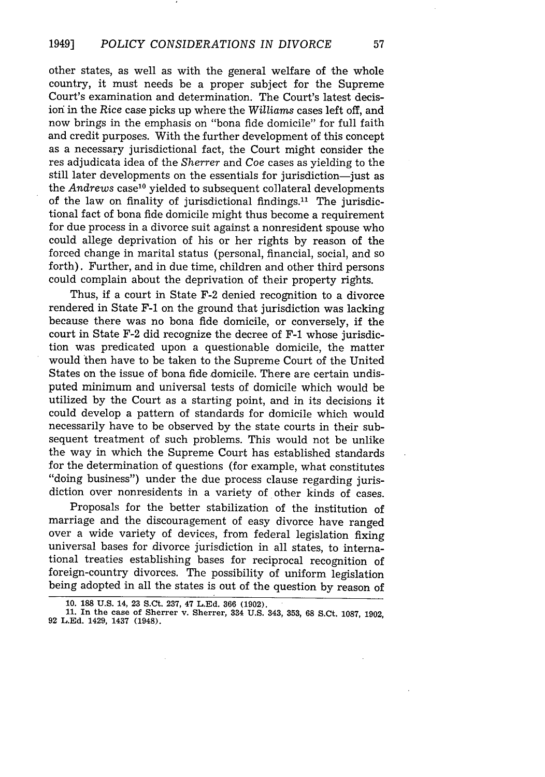other states, as well as with the general welfare of the whole country, it must needs be a proper subject for the Supreme Court's examination and determination. The Court's latest decision in the *Rice* case picks up where the *Williams* cases left off, and now brings in the emphasis on "bona fide domicile" for full faith and credit purposes. With the further development of this concept as a necessary jurisdictional fact, the Court might consider the res adjudicata idea of the *Sherrer* and *Coe* cases as yielding to the still later developments on the essentials for jurisdiction-just as the *Andrews* case<sup>10</sup> yielded to subsequent collateral developments of the law on finality of jurisdictional findings.<sup>11</sup> The jurisdictional fact of bona fide domicile might thus become a requirement for due process in a divorce suit against a nonresident spouse who could allege deprivation of his or her rights by reason of the forced change in marital status (personal, financial, social, and so forth). Further, and in due time, children and other third persons could complain about the deprivation of their property rights.

Thus, if a court in State F-2 denied recognition to a divorce rendered in State F-1 on the ground that jurisdiction was lacking because there was no bona fide domicile, or conversely, if the court in State F-2 did recognize the decree of F-1 whose jurisdiction was predicated upon a questionable domicile, the matter would 'then have to be taken to the Supreme Court of the United States on the issue of bona fide domicile. There are certain undisputed minimum and universal tests of domicile which would be utilized by the Court as a starting point, and in its decisions it could develop a pattern of standards for domicile which would necessarily have to be observed by the state courts in their subsequent treatment of such problems. This would not be unlike the way in which the Supreme Court has established standards for the determination of questions (for example, what constitutes "doing business") under the due process clause regarding jurisdiction over nonresidents in a variety of other kinds of cases.

Proposals for the better stabilization of the institution of marriage and the discouragement of easy divorce have ranged over a wide variety of devices, from federal legislation fixing universal bases for divorce jurisdiction in all states, to international treaties establishing bases for reciprocal recognition of foreign-country divorces. The possibility of uniform legislation being adopted in all the states is out of the question by reason of

**<sup>10. 188</sup> U.S. 14, 23** S.Ct. **237, 47 L.Ed. 366 (1902).**

**<sup>11.</sup> In the case of Sherrer v. Sherrer, 334 U.S. 343, 353, 68 S.Ct. 1087, 1902, 92 L.Ed. 1429, 1437 (1948).**